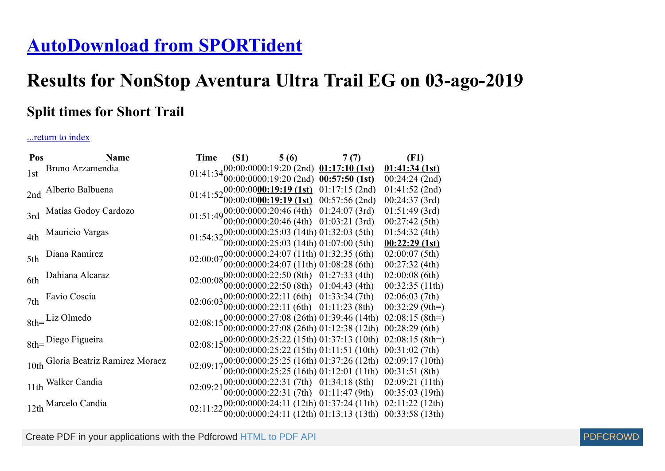## **[AutoDownload from SPORTident](http://www.sportident.co.uk/)**

## **Results for NonStop Aventura Ultra Trail EG on 03-ago-2019**

## **Split times for Short Trail**

## ...return to index

| Pos | <b>Name</b>                        | Time                                                                                                 | $(51)$ $5(6)$ $7(7)$                                                                                                                                                        |  | (F1)              |  |
|-----|------------------------------------|------------------------------------------------------------------------------------------------------|-----------------------------------------------------------------------------------------------------------------------------------------------------------------------------|--|-------------------|--|
| 1st | Bruno Arzamendia                   | 01:41:34 $00:00:0000:19:20$ (2nd) 01:17:10 (1st)<br>01:41:34 $00:00:0000:19:20$ (2nd) 00:57:50 (1st) |                                                                                                                                                                             |  | 01:41:34(1st)     |  |
|     |                                    |                                                                                                      |                                                                                                                                                                             |  | $00:24:24$ (2nd)  |  |
|     | 2nd Alberto Balbuena               |                                                                                                      | 01:41:52 00:00:00 00:19:19 (1st) 01:17:15 (2nd)<br>01:41:52 00:00:00 00:19:19 (1st) 00:57:56 (2nd)                                                                          |  | $01:41:52$ (2nd)  |  |
|     |                                    |                                                                                                      |                                                                                                                                                                             |  | 00:24:37(3rd)     |  |
| 3rd | Matías Godoy Cardozo               |                                                                                                      | 01:51:49 00:00:0000:20:46 (4th) 01:24:07 (3rd)<br>01:51:49 00:00:0000:20:46 (4th) 01:03:21 (3rd)                                                                            |  | $01:51:49$ (3rd)  |  |
|     |                                    |                                                                                                      |                                                                                                                                                                             |  | 00:27:42(5th)     |  |
| 4th | Mauricio Vargas                    |                                                                                                      | 01:54:3200:00:0000:25:03 (14th) 01:32:03 (5th)<br>01:54:3200:00:0000:25:03 (14th) 01:07:00 (5th)                                                                            |  | 01:54:32(4th)     |  |
|     |                                    |                                                                                                      |                                                                                                                                                                             |  | 00:22:29(1st)     |  |
| 5th | Diana Ramírez                      |                                                                                                      | 02:00:0700:00:0000:24:07 (11th) 01:32:35 (6th)<br>02:00:0700:00:0000:24:07 (11th) 01:08:28 (6th)                                                                            |  | 02:00:07(5th)     |  |
|     |                                    |                                                                                                      |                                                                                                                                                                             |  | $00:27:32$ (4th)  |  |
| 6th | Dahiana Alcaraz                    |                                                                                                      | 02:00:0800:00:0000:22:50 (8th) 01:27:33 (4th)<br>02:00:0800:00:0000:22:50 (8th) 01:04:43 (4th)                                                                              |  | $02:00:08$ (6th)  |  |
|     |                                    |                                                                                                      |                                                                                                                                                                             |  | 00:32:35(11th)    |  |
| 7th | Favio Coscia                       |                                                                                                      | 02:06:03 $00:00:0000:22:11$ (6th) 01:33:34 (7th)<br>02:06:03 $00:00:0000:22:11$ (6th) 01:11:23 (8th)                                                                        |  | 02:06:03(7th)     |  |
|     |                                    |                                                                                                      |                                                                                                                                                                             |  | $00:32:29(9th=)$  |  |
|     | $8th =$ Liz Olmedo                 |                                                                                                      | 02:08:1500:00:0000:27:08 (26th) 01:39:46 (14th)<br>02:08:1500:00:0000:27:08 (26th) 01:12:38 (12th)                                                                          |  | $02:08:15$ (8th=) |  |
|     |                                    |                                                                                                      |                                                                                                                                                                             |  | $00:28:29$ (6th)  |  |
|     | 8th=Diego Figueira                 |                                                                                                      | 02:08:1500:00:0000:25:22 (15th) 01:37:13 (10th)<br>02:08:1500:00:0000:25:22 (15th) 01:11:51 (10th)                                                                          |  | $02:08:15$ (8th=) |  |
|     |                                    |                                                                                                      |                                                                                                                                                                             |  | 00:31:02(7th)     |  |
|     | 10th Gloria Beatriz Ramirez Moraez |                                                                                                      | 02:09:1700:00:0000:25:25 (16th) 01:37:26 (12th)                                                                                                                             |  | 02:09:17(10th)    |  |
|     |                                    |                                                                                                      | $00:00:0000:25:25$ (16th) $01:12:01$ (11th)                                                                                                                                 |  | 00:31:51(8th)     |  |
|     | 11th Walker Candia                 |                                                                                                      | $02:09:21 \begin{pmatrix} 00:00:0000:22:31 \ (7th) & 01:34:18 \ (8th) & 02:09:21 \ (11th) \\ 00:00:0000:22:31 \ (7th) & 01:11:47 \ (9th) & 00:35:03 \ (19th) \end{pmatrix}$ |  |                   |  |
|     |                                    |                                                                                                      |                                                                                                                                                                             |  |                   |  |
|     | 12th Marcelo Candia                |                                                                                                      | 02:11:22 00:00:0000:24:11 (12th) 01:37:24 (11th) 02:11:22 (12th)<br>00:33:58 (13th)                                                                                         |  |                   |  |
|     |                                    |                                                                                                      |                                                                                                                                                                             |  |                   |  |

Create PDF in your applications with the Pdfcrowd [HTML to PDF API](https://pdfcrowd.com/doc/api/?ref=pdf) [PDFCROWD](https://pdfcrowd.com/?ref=pdf)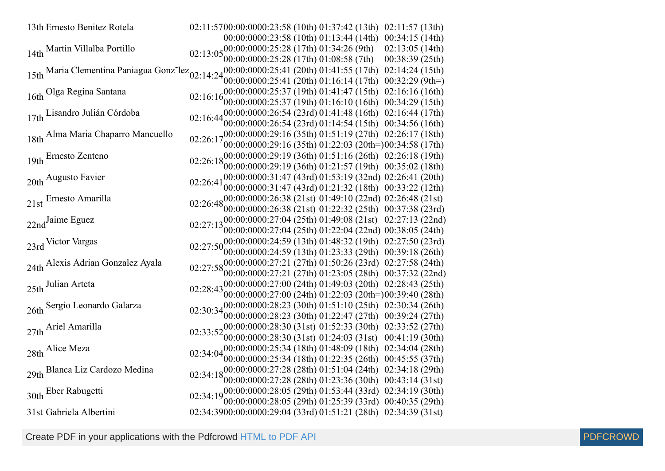| 13th Ernesto Benitez Rotela                                              | 02:11:5700:00:0000:23:58 (10th) 01:37:42 (13th)<br>02:11:57(13th)                                                                          |
|--------------------------------------------------------------------------|--------------------------------------------------------------------------------------------------------------------------------------------|
|                                                                          | 00:00:0000:23:58 (10th) 01:13:44 (14th)<br>00:34:15(14th)                                                                                  |
| 14th Martin Villalba Portillo                                            | .00:00:0000:25:28 (17th) 01:34:26 (9th)<br>02:13:05(14th)<br>02:13:05                                                                      |
|                                                                          | 00:00:0000:25:28 (17th) 01:08:58 (7th)<br>00:38:39(25th)                                                                                   |
| 15th Maria Clementina Paniagua Gonz <sup>-</sup> lez <sub>02:14:24</sub> | $00:00:0000:25:41$ (20th) 01:41:55 (17th)<br>02:14:24(15th)                                                                                |
|                                                                          | $00:00:0000:25:41$ (20th) 01:16:14 (17th)<br>$00:32:29(9th=)$                                                                              |
| 16th Olga Regina Santana                                                 | 00:00:0000:25:37 (19th) 01:41:47 (15th)<br>02:16:16(16th)<br>02:16:16                                                                      |
|                                                                          | 00:00:0000:25:37 (19th) 01:16:10 (16th)<br>00:34:29(15th)                                                                                  |
| 17th Lisandro Julián Córdoba                                             | 00:00:0000:26:54(23rd)01:41:48(16th)<br>02:16:44(17th)<br>02:16:44                                                                         |
|                                                                          | $00:00:0000:26:54$ (23rd) 01:14:54 (15th) 00:34:56 (16th)                                                                                  |
| 18th Alma Maria Chaparro Mancuello                                       | $0.000000029:16(35th)01:51:19(27th)02:26:17(18th)$<br>02:26:17                                                                             |
|                                                                          | 00:00:0000:29:16 (35th) 01:22:03 (20th=)00:34:58 (17th)                                                                                    |
| 19th Ernesto Zenteno                                                     | 02:26:18 $00:00:0000:29:19$ (36th) 01:51:16 (26th) 02:26:18 (19th)                                                                         |
|                                                                          | $00:00:0000:29:19$ (36th) $01:21:57$ (19th) $00:35:02$ (18th)                                                                              |
| 20th Augusto Favier                                                      | 00:00:0000:31:47 (43rd) 01:53:19 (32nd) 02:26:41 (20th)<br>02:26:41                                                                        |
|                                                                          | 00:00:0000:31:47 (43rd) 01:21:32 (18th) 00:33:22 (12th)                                                                                    |
| 21st Ernesto Amarilla                                                    | 02:26:48 <sub>00:00:0000:26:38</sub> (21st) 01:49:10 (22nd) 02:26:48 (21st)                                                                |
|                                                                          | 00:00:00000:26:38 (21st) 01:22:32 (25th) 00:37:38 (23rd)                                                                                   |
| 22nd <sup>Jaime</sup> Eguez                                              | 02:27:13 00:00:00:00:00 27:04 (25th) 01:49:08 (21st) 02:27:13 (22nd)                                                                       |
|                                                                          | 00:00:0000:27:04 (25th) 01:22:04 (22nd) 00:38:05 (24th)                                                                                    |
| 23rd Victor Vargas                                                       | $02:27:50_{00.00.0000024.59}^{00.00.000024.59(13th) 01:48:32(19th) 02:27:50(23rd)$<br>$00:00:0000:24:59(13th)01:23:33(29th)00:39:18(26th)$ |
|                                                                          |                                                                                                                                            |
| 24th Alexis Adrian Gonzalez Ayala                                        | $02:27:58^{00:00:0000:27:21}$ (27th) $01:50:26$ (23rd) $02:27:58$ (24th)<br>$00:00:0000:27:21$ (27th) 01:23:05 (28th) 00:37:32 (22nd)      |
|                                                                          | 02:28:43 00:00:0000:27:00 (24th) 01:49:03 (20th) 02:28:43 (25th)                                                                           |
| 25th Julian Arteta                                                       | 00:00:0000:27:00 (24th) 01:22:03 (20th=)00:39:40 (28th)                                                                                    |
|                                                                          |                                                                                                                                            |
| 26th Sergio Leonardo Galarza                                             | 02:30:34 $00:00:0000:28:23$ (30th) 01:51:10 (25th) 02:30:34 (26th)<br>02:30:34 $00:00:0000:28:23$ (30th) 01:22:47 (27th) 00:39:24 (27th)   |
|                                                                          | 02:33:52 00:00:0000:28:30 (31st) 01:52:33 (30th) 02:33:52 (27th)                                                                           |
| 27th Ariel Amarilla                                                      | 00:00:0000:28:30 (31st) 01:24:03 (31st) 00:41:19 (30th)                                                                                    |
| 28th Alice Meza                                                          | 02:34:04 $^{00:00:0000:25:34}$ (18th) 01:48:09 (18th) 02:34:04 (28th)                                                                      |
|                                                                          | 00:00:0000:25:34 (18th) 01:22:35 (26th) 00:45:55 (37th)                                                                                    |
| 29th Blanca Liz Cardozo Medina                                           | 02:34:1800:00:0000:27:28 (28th) 01:51:04 (24th) 02:34:18 (29th)                                                                            |
|                                                                          | 00:00:0000:27:28 (28th) 01:23:36 (30th) 00:43:14 (31st)                                                                                    |
| 30th Eber Rabugetti                                                      | 02:34:19 00:00:0000:28:05 (29th) 01:53:44 (33rd) 02:34:19 (30th)                                                                           |
|                                                                          | $(00:00:0000:28:05(29th) 01:25:39(33rd) 00:40:35(29th))$                                                                                   |
| 31st Gabriela Albertini                                                  | 02:34:3900:00:0000:29:04 (33rd) 01:51:21 (28th) 02:34:39 (31st)                                                                            |

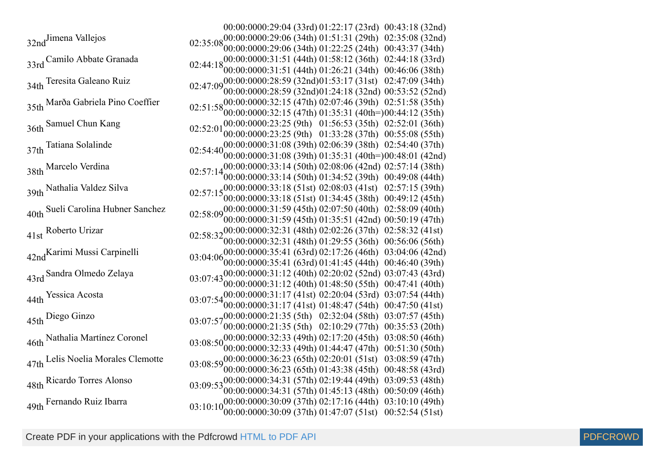00:00:0000:29:04 (33rd) 01:22:17 (23rd) 00:43:18 (32nd) 32nd<sup>Jimena</sup> Vallejos 00:00:00 00:29:06 (34th) 01:22:25 (24th) 00:43:37 (34th) 00:29:06 (34th) 01:51:31 (29th) 02:35:08 (32nd) 33rd Camilo Abbate Granada 00:00:00 00:31:51 (44th) 01:26:21 (34th) 00:46:06 (38th) 00:31:51 (44th) 01:58:12 (36th) 02:44:18 (33rd) 34th Teresita Galeano Ruiz Teresita Galeano Ruiz 02:47:0900:00:00 00:28:59 (32nd) 01:53:17 (31st) 02:47:09 (34th) 00:00:00 00:28:59 (32nd) 01:24:18 (32nd) 00:53:52 (52nd) 35th Marða Gabriela Pino Coeffier 00:00:00 00:32:15 (47th) 00:32:15 (47th) 02:07:46 (39th) 01:35:31 (40th=)  $36th$  Samuel Chun Kang  $02:52:01$ 00:00:00 00:23:25 (9th) 01:33:28 (37th) 00:55:08 (55th) 00:23:25 (9th) 01:56:53 (35th) 02:52:01 (36th) 37th Tatiana Solalinde Tatiana Solalinde 02:54:4000:00:00 00:31:08 (39th) 02:06:39 (38th) 02:54:40 (37th) 00:00:00 00:31:08 (39th) 01:35:31 (40th=) 00:48:01 (42nd) 38th Marcelo Verdina 00:00:00 00:33:14 (50th) 01:34:52 (39th) 00:49:08 (44th) 00:33:14 (50th) 02:08:06 (42nd) 02:57:14 (38th) 39th Nathalia Valdez Silva 00:00:0000:33:18 (51st) 01:34:45 (38th) 00:49:12 (45th) 00:33:18 (51st) 02:08:03 (41st) 02:57:15 (39th) 40th Sueli Carolina Hubner Sanchez 00:00:00 00:31:59 (45th) 01:35:51 (42nd) 00:50:19 (47th) 00:31:59 (45th) 02:07:50 (40th) 02:58:09 (40th) 41st Roberto Urizar 00:00:00 00:32:31 (48th) 01:29:55 (36th) 00:56:06 (56th) 00:32:31 (48th) 02:02:26 (37th) 02:58:32 (41st) 42nd Karimi Mussi Carpinelli 00:00:00 00:35:41 (63rd) 01:41:45 (44th) 00:46:40 (39th) 00:35:41 (63rd) 02:17:26 (46th) 03:04:06 (42nd) 43rd Sandra Olmedo Zelaya 00:00:00 00:31:12 (40th) 01:48:50 (55th) 00:47:41 (40th) 00:31:12 (40th) 02:20:02 (52nd) 03:07:43 (43rd) 44th Yessica Acosta Yessica Acosta<br>
03:07:54<sub>00:00:00:00:00:00:01:17</sub> (41st) 02:20:04 (53rd) 03:07:54 (44th)<br>
00:47:50 (41st) 00:00:0000:31:17 (41st) 01:48:47 (54th) 00:47:50 (41st) 45th Diego Ginzo<br>
03:07:5700:00:0000:21:35 (5th) 02:32:04 (58th) 03:07:57 (45th)<br>
00:25:52 (20th) 00:00:00 00:21:35 (5th) 02:10:29 (77th) 00:35:53 (20th) 46th Nathalia Martínez Coronel 00:00:00 00:32:33 (49th) 01:44:47 (47th) 00:51:30 (50th) 00:32:33 (49th) 02:17:20 (45th) 03:08:50 (46th) 47th Lelis Noelia Morales Clemotte 00:00:00 00:36:23 (65th) 01:43:38 (45th) 00:48:58 (43rd) 00:36:23 (65th) 02:20:01 (51st) 03:08:59 (47th) 48th Ricardo Torres Alonso 00:00:00 00:34:31 (57th) 01:45:13 (48th) 00:50:09 (46th) 00:34:31 (57th) 02:19:44 (49th) 03:09:53 (48th) 49th Fernando Ruiz Ibarra 00:00:00 00:30:09 (37th) 01:47:07 (51st) 00:52:54 (51st) 00:30:09 (37th) 02:17:16 (44th) 03:10:10 (49th)

02:51:58 (35th) 00:44:12 (35th)

Create PDF in your applications with the Pdfcrowd [HTML to PDF API](https://pdfcrowd.com/doc/api/?ref=pdf) [PDFCROWD](https://pdfcrowd.com/?ref=pdf) Create PDF in your applications with the Pdfcrowd HTML to PDF API

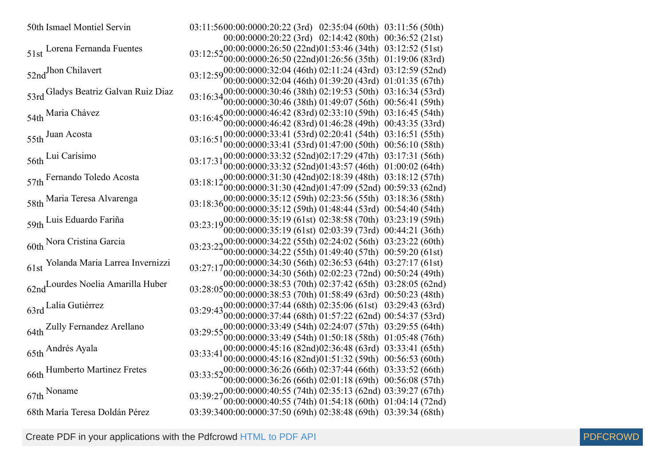| 50th Ismael Montiel Servin                    | 03:11:5600:00:0000:20:22 (3rd) 02:35:04 (60th) 03:11:56 (50th)                                                                          |                                  |
|-----------------------------------------------|-----------------------------------------------------------------------------------------------------------------------------------------|----------------------------------|
|                                               | 00:00:0000:20:22 (3rd) 02:14:42 (80th) 00:36:52 (21st)                                                                                  |                                  |
| 51st Lorena Fernanda Fuentes                  | $03:12:5200:00:0000:26:50 (22nd)01:53:46 (34th) 03:12:52 (51st)$                                                                        |                                  |
|                                               | 00:00:0000:26:50 (22nd)01:26:56 (35th) 01:19:06 (83rd)                                                                                  |                                  |
| 52ndJhon Chilavert                            | $03:12:59^{00:00:0000:32:04}$ (46th) $02:11:24$ (43rd)                                                                                  | 03:12:59(52nd)                   |
|                                               | $00:00:0000:32:04$ (46th) $01:39:20$ (43rd)                                                                                             | 01:01:35(67th)                   |
| 53rd Gladys Beatriz Galvan Ruiz Diaz          | 00:00:0000:30:46 (38th) 02:19:53 (50th)<br>03:16:34                                                                                     | 03:16:34(53rd)                   |
|                                               | $00:00:0000:30:46$ (38th) 01:49:07 (56th)                                                                                               | 00:56:41(59th)                   |
| 54th Maria Chávez                             | 03:16:4500:00:0000:46:42 (83rd) 02:33:10 (59th)                                                                                         | 03:16:45(54th)                   |
|                                               | $(00:00:0000:46:42(83rd)01:46:28(49th))$<br>00:00:0000:33:41(53rd)02:20:41(54th)                                                        | 00:43:35(33rd)<br>03:16:51(55th) |
| 55th Juan Acosta                              | 03:16:51<br>00:00:0000:33:41 (53rd) 01:47:00 (50th)                                                                                     | 00:56:10(58th)                   |
|                                               | 00:00:0000:33:32 (52nd)02:17:29 (47th)                                                                                                  | 03:17:31(56th)                   |
| 56th Lui Carísimo                             | 03:17:31<br>00:00:0000:33:32 (52nd)01:43:57 (46th)                                                                                      | 01:00:02(64th)                   |
|                                               | 03:18:1200:00:0000:31:30 (42nd)02:18:39 (48th)                                                                                          | 03:18:12 (57th)                  |
| 57th Fernando Toledo Acosta                   | 00:00:0000:31:30 (42nd)01:47:09 (52nd) 00:59:33 (62nd)                                                                                  |                                  |
| 58th Maria Teresa Alvarenga                   | $03:18:3600:0000000000035:12(59th)02:23:56(55th)$                                                                                       | 03:18:36 (58th)                  |
|                                               | $00:00:0000:35:12(59th)01:48:44(53rd)00:54:40(54th)$                                                                                    |                                  |
| 59th Luis Eduardo Fariña                      | $03:23:19^{00:00:0000:35:19}$ (61st) $02:38:58$ (70th) $03:23:19$ (59th)                                                                |                                  |
|                                               | $00:00:0000:35:19$ (61st) 02:03:39 (73rd) 00:44:21 (36th)                                                                               |                                  |
| 60th Nora Cristina Garcia                     | 03:23:22 00:00:0000:34:22 (55th) 02:24:02 (56th) 03:23:22 (60th)<br>03:23:22 00:00:0000:34:22 (55th) 01:49:40 (57th) 00:59:20 (61st)    |                                  |
|                                               |                                                                                                                                         |                                  |
| 61st Yolanda Maria Larrea Invernizzi          | $03:27:17_{00.00.000003430}^{00.0000003430}$ (56th) 02:36:53 (64th) 03:27:17 (61st)                                                     |                                  |
|                                               | 00:00:0000:34:30 (56th) 02:02:23 (72nd) 00:50:24 (49th)                                                                                 |                                  |
| 62nd <sup>Lourdes</sup> Noelia Amarilla Huber | $03:28:05\substack{00:00000000038:53(70th) 02:37:42(65th) 03:28:05(62nd) }$                                                             |                                  |
|                                               | $00:00:0000:38:53(70th)01:58:49(63rd)00:50:23(48th)$                                                                                    |                                  |
| 63rd Lalia Gutiérrez                          | $03:29:43_{00.00.000037}:44(68th) 02:35:06(61st) 03:29:43(63rd)$                                                                        |                                  |
|                                               | $00:00:0000:37:44$ (68th) 01:57:22 (62nd) 00:54:37 (53rd)                                                                               |                                  |
| 64th Zully Fernandez Arellano                 | $03:29:55_{00.00.000033}:49(54th)$ $02:24:07(57th)$ $03:29:55(64th)$                                                                    |                                  |
|                                               | $00:00:0000:33:49(54th)01:50:18(58th)01:05:48(76th)$                                                                                    |                                  |
| 65th Andrés Ayala                             | 03:33:41 00:00:0000:45:16 (82nd) 02:36:48 (63rd) 03:33:41 (65th)<br>00:00:0000:45:16 (82nd)01:51:32 (59th) 00:56:53 (60th)              |                                  |
|                                               |                                                                                                                                         |                                  |
| 66th Humberto Martinez Fretes                 | 03:33:52 00:00:0000:36:26 (66th) 02:37:44 (66th) 03:33:52 (66th)<br>03:33:52 00:00:00:0000:36:26 (66th) 02:01:18 (69th) 00:56:08 (57th) |                                  |
|                                               |                                                                                                                                         |                                  |
| 67th Noname                                   | 03:39:27 00:00:0000:40:55 (74th) 02:35:13 (62nd) 03:39:27 (67th)<br>03:39:27 00:00:0000:40:55 (74th) 01:54:18 (60th) 01:04:14 (72nd)    |                                  |
| 68th María Teresa Doldán Pérez                | 03:39:3400:00:0000:37:50 (69th) 02:38:48 (69th) 03:39:34 (68th)                                                                         |                                  |
|                                               |                                                                                                                                         |                                  |

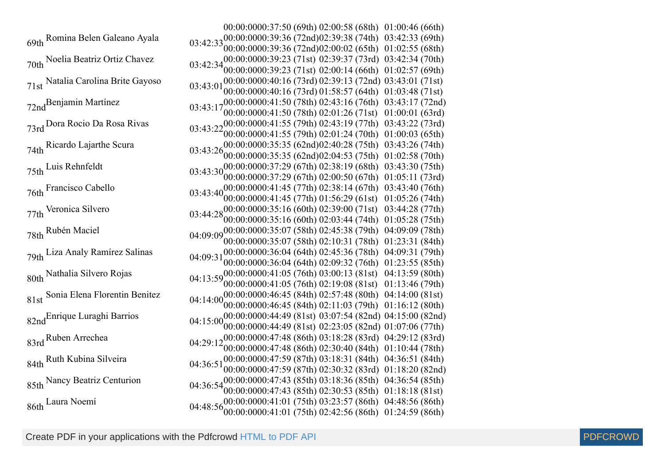69th Romina Belen Galeano Ayala 00:00:00 70th Noelia Beatriz Ortiz Chavez 00:00:00 71st Natalia Carolina Brite Gayoso 00:00:00 72nd Benjamin Martínez 00:00:00 73rd Dora Rocio Da Rosa Rivas 00:00:00 74th Ricardo Lajarthe Scura 00:00:00 75th Luis Rehnfeldt 00:00:00 76th Francisco Cabello 00:00:00 77th Veronica Silvero 03:44:2800:00:00 00:00:00 78th Rubén Maciel 00:00:00 79th Liza Analy Ramírez Salinas 00:00:00 80th Nathalia Silvero Rojas 00:00:00 81st Sonia Elena Florentin Benitez 00:00:00 82nd<sup>Enrique</sup> Luraghi Barrios 00:00:00 83rd Ruben Arrechea 00:00:00 84th Ruth Kubina Silveira 00:00:00 85th Nancy Beatriz Centurion 00:00:00 86th Laura Noemí 00:00:00

| 00:00:0000:37:50 (69th) 02:00:58 (68th)                      | 01:00:46 (66th) |
|--------------------------------------------------------------|-----------------|
| 00:00:0000:39:36 (72nd)02:39:38 (74th)<br>03:42:33           | 03:42:33 (69th) |
| 00:00:0000:39:36 (72nd)02:00:02 (65th)                       | 01:02:55(68th)  |
| $03:42:34_{00,00}^{00:00:0000:39:23}$ (71st) 02:39:37 (73rd) | 03:42:34 (70th) |
| 00:00:0000:39:23 (71st) 02:00:14 (66th)                      | 01:02:57(69th)  |
| 00:00:0000:40:16 (73rd) 02:39:13 (72nd)<br>03:43:01          | 03:43:01(71st)  |
| 00:00:0000:40:16 (73rd) 01:58:57 (64th)                      | 01:03:48(71st)  |
| $03:43:17^{00:00:0000:41:50}$ (78th) 02:43:16 (76th)         | 03:43:17 (72nd) |
| 00:00:0000:41:50 (78th) 02:01:26 (71st)                      | 01:00:01(63rd)  |
| $03:43:2200:00:0000:41:55(79th)02:43:19(77th)$               | 03:43:22(73rd)  |
| 00:00:0000:41:55 (79th) 02:01:24 (70th)                      | 01:00:03 (65th) |
| 00:00:0000:35:35 (62nd)02:40:28 (75th)<br>03:43:26           | 03:43:26 (74th) |
| 00:00:0000:35:35 (62nd)02:04:53 (75th)                       | 01:02:58(70th)  |
| $03:43:30^{00:00:0000:37:29}$ (67th) 02:38:19 (68th)         | 03:43:30 (75th) |
| 00:00:00000:37:29 (67th) 02:00:50 (67th)                     | 01:05:11(73rd)  |
| $03:43:40^{00:00:0000:41:45}$ (77th) 02:38:14 (67th)         | 03:43:40 (76th) |
| 00:00:0000:41:45 (77th) 01:56:29 (61st)                      | 01:05:26(74th)  |
| $03:44:2800:00:0000:35:16(60th) 02:39:00(71st)$              | 03:44:28 (77th) |
| 00:00:0000:35:16 (60th) 02:03:44 (74th)                      | 01:05:28 (75th) |
| $04:09:09\,00.00000000035:07(58th)02:45:38(79th)$            | 04:09:09 (78th) |
| 00:00:0000:35:07 (58th) 02:10:31 (78th)                      | 01:23:31 (84th) |
| 00:00:0000:36:04 (64th) 02:45:36 (78th)<br>04:09:31          | 04:09:31 (79th) |
| 00:00:0000:36:04 (64th) 02:09:32 (76th)                      | 01:23:55 (85th) |
| 04:13:5900:00:0000:41:05 $(76th)$ 03:00:13 (81st)            | 04:13:59 (80th) |
| 00:00:0000:41:05 (76th) 02:19:08 (81st)                      | 01:13:46(79th)  |
| 04:14:0000.00:00000:46:45 (84th) 02:57:48 (80th)             | 04:14:00 (81st) |
| 00:00:0000:46:45 (84th) 02:11:03 (79th)                      | 01:16:12(80th)  |
| 04:15:0000:00:0000:44:49 (81st) 03:07:54 (82nd)              | 04:15:00 (82nd) |
| 00:00:0000:44:49 (81st) 02:23:05 (82nd)                      | 01:07:06(77th)  |
| 04:29:1200:00:0000:47:48 (86th) 03:18:28 (83rd)              | 04:29:12 (83rd) |
| 00:00:0000:47:48 (86th) 02:30:40 (84th)                      | 01:10:44(78th)  |
| 00:00:0000:47:59 (87th) 03:18:31 (84th)<br>04:36:51          | 04:36:51 (84th) |
| 00:00:0000:47:59 (87th) 02:30:32 (83rd)                      | 01:18:20(82nd)  |
| $04:36:54^{00:00:0000:47:43}$ (85th) $03:18:36$ (85th)       | 04:36:54 (85th) |
| 00:00:0000:47:43 (85th) 02:30:53 (85th)                      | 01:18:18(81st)  |
| 04:48:56 <sub>00:00</sub> :0000:41:01 (75th) 03:23:57 (86th) | 04:48:56 (86th) |
| 00:00:0000:41:01(75th)02:42:56(86th)                         | 01:24:59(86th)  |